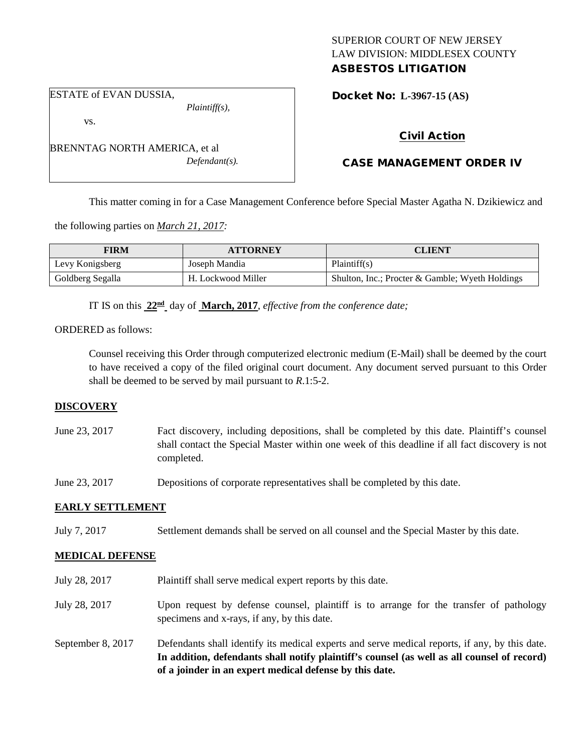## SUPERIOR COURT OF NEW JERSEY LAW DIVISION: MIDDLESEX COUNTY ASBESTOS LITIGATION

#### ESTATE of EVAN DUSSIA,

vs.

BRENNTAG NORTH AMERICA, et al *Defendant(s).*

*Plaintiff(s),*

Docket No: **L-3967-15 (AS)** 

# Civil Action

# CASE MANAGEMENT ORDER IV

This matter coming in for a Case Management Conference before Special Master Agatha N. Dzikiewicz and

the following parties on *March 21, 2017:*

| <b>FIRM</b>      | <b>ATTORNEY</b>    | <b>CLIENT</b>                                   |
|------------------|--------------------|-------------------------------------------------|
| Levy Konigsberg  | Joseph Mandia      | Plaintiff(s)                                    |
| Goldberg Segalla | H. Lockwood Miller | Shulton, Inc.; Procter & Gamble; Wyeth Holdings |

IT IS on this **22nd** day of **March, 2017**, *effective from the conference date;*

## ORDERED as follows:

Counsel receiving this Order through computerized electronic medium (E-Mail) shall be deemed by the court to have received a copy of the filed original court document. Any document served pursuant to this Order shall be deemed to be served by mail pursuant to *R*.1:5-2.

## **DISCOVERY**

June 23, 2017 Fact discovery, including depositions, shall be completed by this date. Plaintiff's counsel shall contact the Special Master within one week of this deadline if all fact discovery is not completed.

June 23, 2017 Depositions of corporate representatives shall be completed by this date.

## **EARLY SETTLEMENT**

July 7, 2017 Settlement demands shall be served on all counsel and the Special Master by this date.

## **MEDICAL DEFENSE**

July 28, 2017 Plaintiff shall serve medical expert reports by this date. July 28, 2017 Upon request by defense counsel, plaintiff is to arrange for the transfer of pathology specimens and x-rays, if any, by this date. September 8, 2017 Defendants shall identify its medical experts and serve medical reports, if any, by this date. **In addition, defendants shall notify plaintiff's counsel (as well as all counsel of record) of a joinder in an expert medical defense by this date.**